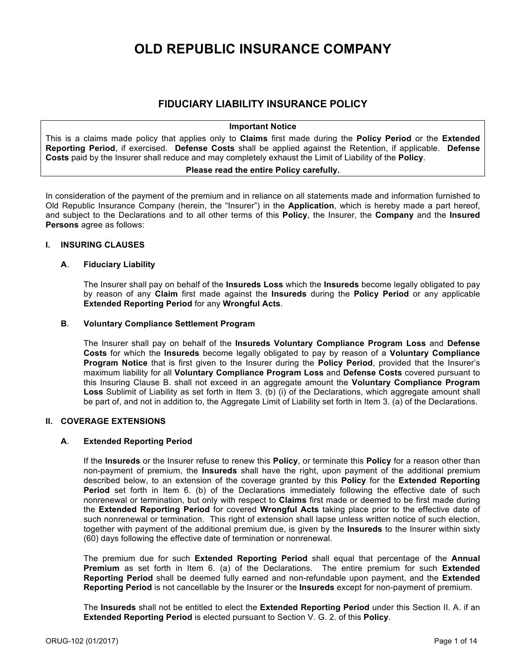# **OLD REPUBLIC INSURANCE COMPANY**

## **FIDUCIARY LIABILITY INSURANCE POLICY**

#### **Important Notice**

This is a claims made policy that applies only to **Claims** first made during the **Policy Period** or the **Extended Reporting Period**, if exercised. **Defense Costs** shall be applied against the Retention, if applicable. **Defense Costs** paid by the Insurer shall reduce and may completely exhaust the Limit of Liability of the **Policy**.

## **Please read the entire Policy carefully.**

In consideration of the payment of the premium and in reliance on all statements made and information furnished to Old Republic Insurance Company (herein, the "Insurer") in the **Application**, which is hereby made a part hereof, and subject to the Declarations and to all other terms of this **Policy**, the Insurer, the **Company** and the **Insured Persons** agree as follows:

#### **I. INSURING CLAUSES**

#### **A**. **Fiduciary Liability**

The Insurer shall pay on behalf of the **Insureds Loss** which the **Insureds** become legally obligated to pay by reason of any **Claim** first made against the **Insureds** during the **Policy Period** or any applicable **Extended Reporting Period** for any **Wrongful Acts**.

## **B**. **Voluntary Compliance Settlement Program**

The Insurer shall pay on behalf of the **Insureds Voluntary Compliance Program Loss** and **Defense Costs** for which the **Insureds** become legally obligated to pay by reason of a **Voluntary Compliance Program Notice** that is first given to the Insurer during the **Policy Period**, provided that the Insurer's maximum liability for all **Voluntary Compliance Program Loss** and **Defense Costs** covered pursuant to this Insuring Clause B. shall not exceed in an aggregate amount the **Voluntary Compliance Program Loss** Sublimit of Liability as set forth in Item 3. (b) (i) of the Declarations, which aggregate amount shall be part of, and not in addition to, the Aggregate Limit of Liability set forth in Item 3. (a) of the Declarations.

## **II. COVERAGE EXTENSIONS**

## **A**. **Extended Reporting Period**

If the **Insureds** or the Insurer refuse to renew this **Policy**, or terminate this **Policy** for a reason other than non-payment of premium, the **Insureds** shall have the right, upon payment of the additional premium described below, to an extension of the coverage granted by this **Policy** for the **Extended Reporting Period** set forth in Item 6. (b) of the Declarations immediately following the effective date of such nonrenewal or termination, but only with respect to **Claims** first made or deemed to be first made during the **Extended Reporting Period** for covered **Wrongful Acts** taking place prior to the effective date of such nonrenewal or termination. This right of extension shall lapse unless written notice of such election, together with payment of the additional premium due, is given by the **Insureds** to the Insurer within sixty (60) days following the effective date of termination or nonrenewal.

The premium due for such **Extended Reporting Period** shall equal that percentage of the **Annual Premium** as set forth in Item 6. (a) of the Declarations. The entire premium for such **Extended Reporting Period** shall be deemed fully earned and non-refundable upon payment, and the **Extended Reporting Period** is not cancellable by the Insurer or the **Insureds** except for non-payment of premium.

The **Insureds** shall not be entitled to elect the **Extended Reporting Period** under this Section II. A. if an **Extended Reporting Period** is elected pursuant to Section V. G. 2. of this **Policy**.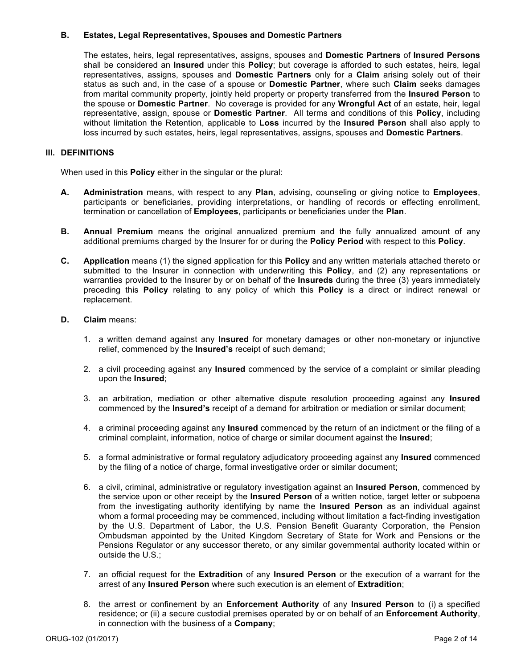## **B. Estates, Legal Representatives, Spouses and Domestic Partners**

The estates, heirs, legal representatives, assigns, spouses and **Domestic Partners** of **Insured Persons** shall be considered an **Insured** under this **Policy**; but coverage is afforded to such estates, heirs, legal representatives, assigns, spouses and **Domestic Partners** only for a **Claim** arising solely out of their status as such and, in the case of a spouse or **Domestic Partner**, where such **Claim** seeks damages from marital community property, jointly held property or property transferred from the **Insured Person** to the spouse or **Domestic Partner**. No coverage is provided for any **Wrongful Act** of an estate, heir, legal representative, assign, spouse or **Domestic Partner**. All terms and conditions of this **Policy**, including without limitation the Retention, applicable to **Loss** incurred by the **Insured Person** shall also apply to loss incurred by such estates, heirs, legal representatives, assigns, spouses and **Domestic Partners**.

## **III. DEFINITIONS**

When used in this **Policy** either in the singular or the plural:

- **A. Administration** means, with respect to any **Plan**, advising, counseling or giving notice to **Employees**, participants or beneficiaries, providing interpretations, or handling of records or effecting enrollment, termination or cancellation of **Employees**, participants or beneficiaries under the **Plan**.
- **B. Annual Premium** means the original annualized premium and the fully annualized amount of any additional premiums charged by the Insurer for or during the **Policy Period** with respect to this **Policy**.
- **C. Application** means (1) the signed application for this **Policy** and any written materials attached thereto or submitted to the Insurer in connection with underwriting this **Policy**, and (2) any representations or warranties provided to the Insurer by or on behalf of the **Insureds** during the three (3) years immediately preceding this **Policy** relating to any policy of which this **Policy** is a direct or indirect renewal or replacement.

## **D. Claim** means:

- 1. a written demand against any **Insured** for monetary damages or other non-monetary or injunctive relief, commenced by the **Insured's** receipt of such demand;
- 2. a civil proceeding against any **Insured** commenced by the service of a complaint or similar pleading upon the **Insured**;
- 3. an arbitration, mediation or other alternative dispute resolution proceeding against any **Insured** commenced by the **Insured's** receipt of a demand for arbitration or mediation or similar document;
- 4. a criminal proceeding against any **Insured** commenced by the return of an indictment or the filing of a criminal complaint, information, notice of charge or similar document against the **Insured**;
- 5. a formal administrative or formal regulatory adjudicatory proceeding against any **Insured** commenced by the filing of a notice of charge, formal investigative order or similar document;
- 6. a civil, criminal, administrative or regulatory investigation against an **Insured Person**, commenced by the service upon or other receipt by the **Insured Person** of a written notice, target letter or subpoena from the investigating authority identifying by name the **Insured Person** as an individual against whom a formal proceeding may be commenced, including without limitation a fact-finding investigation by the U.S. Department of Labor, the U.S. Pension Benefit Guaranty Corporation, the Pension Ombudsman appointed by the United Kingdom Secretary of State for Work and Pensions or the Pensions Regulator or any successor thereto, or any similar governmental authority located within or outside the U.S.;
- 7. an official request for the **Extradition** of any **Insured Person** or the execution of a warrant for the arrest of any **Insured Person** where such execution is an element of **Extradition**;
- 8. the arrest or confinement by an **Enforcement Authority** of any **Insured Person** to (i) a specified residence; or (ii) a secure custodial premises operated by or on behalf of an **Enforcement Authority**, in connection with the business of a **Company**;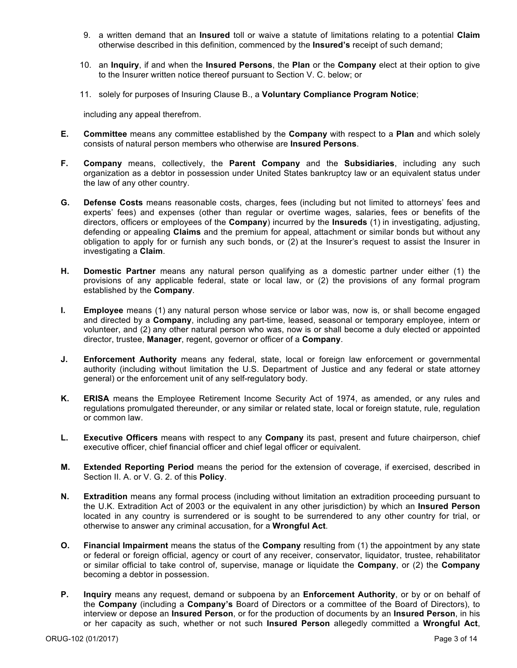- 9. a written demand that an **Insured** toll or waive a statute of limitations relating to a potential **Claim** otherwise described in this definition, commenced by the **Insured's** receipt of such demand;
- 10. an **Inquiry**, if and when the **Insured Persons**, the **Plan** or the **Company** elect at their option to give to the Insurer written notice thereof pursuant to Section V. C. below; or
- 11. solely for purposes of Insuring Clause B., a **Voluntary Compliance Program Notice**;

including any appeal therefrom.

- **E. Committee** means any committee established by the **Company** with respect to a **Plan** and which solely consists of natural person members who otherwise are **Insured Persons**.
- **F. Company** means, collectively, the **Parent Company** and the **Subsidiaries**, including any such organization as a debtor in possession under United States bankruptcy law or an equivalent status under the law of any other country.
- **G. Defense Costs** means reasonable costs, charges, fees (including but not limited to attorneys' fees and experts' fees) and expenses (other than regular or overtime wages, salaries, fees or benefits of the directors, officers or employees of the **Company**) incurred by the **Insureds** (1) in investigating, adjusting, defending or appealing **Claims** and the premium for appeal, attachment or similar bonds but without any obligation to apply for or furnish any such bonds, or (2) at the Insurer's request to assist the Insurer in investigating a **Claim**.
- **H. Domestic Partner** means any natural person qualifying as a domestic partner under either (1) the provisions of any applicable federal, state or local law, or (2) the provisions of any formal program established by the **Company**.
- **I. Employee** means (1) any natural person whose service or labor was, now is, or shall become engaged and directed by a **Company**, including any part-time, leased, seasonal or temporary employee, intern or volunteer, and (2) any other natural person who was, now is or shall become a duly elected or appointed director, trustee, **Manager**, regent, governor or officer of a **Company**.
- **J. Enforcement Authority** means any federal, state, local or foreign law enforcement or governmental authority (including without limitation the U.S. Department of Justice and any federal or state attorney general) or the enforcement unit of any self-regulatory body.
- **K. ERISA** means the Employee Retirement Income Security Act of 1974, as amended, or any rules and regulations promulgated thereunder, or any similar or related state, local or foreign statute, rule, regulation or common law.
- **L. Executive Officers** means with respect to any **Company** its past, present and future chairperson, chief executive officer, chief financial officer and chief legal officer or equivalent.
- **M. Extended Reporting Period** means the period for the extension of coverage, if exercised, described in Section II. A. or V. G. 2. of this **Policy**.
- **N. Extradition** means any formal process (including without limitation an extradition proceeding pursuant to the U.K. Extradition Act of 2003 or the equivalent in any other jurisdiction) by which an **Insured Person** located in any country is surrendered or is sought to be surrendered to any other country for trial, or otherwise to answer any criminal accusation, for a **Wrongful Act**.
- **O. Financial Impairment** means the status of the **Company** resulting from (1) the appointment by any state or federal or foreign official, agency or court of any receiver, conservator, liquidator, trustee, rehabilitator or similar official to take control of, supervise, manage or liquidate the **Company**, or (2) the **Company** becoming a debtor in possession.
- **P. Inquiry** means any request, demand or subpoena by an **Enforcement Authority**, or by or on behalf of the **Company** (including a **Company's** Board of Directors or a committee of the Board of Directors), to interview or depose an **Insured Person**, or for the production of documents by an **Insured Person**, in his or her capacity as such, whether or not such **Insured Person** allegedly committed a **Wrongful Act**,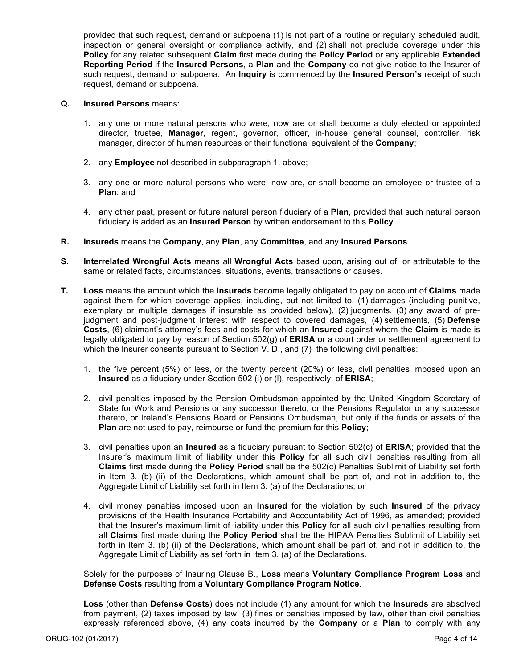provided that such request, demand or subpoena (1) is not part of a routine or regularly scheduled audit, inspection or general oversight or compliance activity, and (2) shall not preclude coverage under this **Policy** for any related subsequent **Claim** first made during the **Policy Period** or any applicable **Extended Reporting Period** if the **Insured Persons**, a **Plan** and the **Company** do not give notice to the Insurer of such request, demand or subpoena. An **Inquiry** is commenced by the **Insured Person's** receipt of such request, demand or subpoena.

#### **Q. Insured Persons** means:

- 1. any one or more natural persons who were, now are or shall become a duly elected or appointed director, trustee, **Manager**, regent, governor, officer, in-house general counsel, controller, risk manager, director of human resources or their functional equivalent of the **Company**;
- 2. any **Employee** not described in subparagraph 1. above;
- 3. any one or more natural persons who were, now are, or shall become an employee or trustee of a **Plan**; and
- 4. any other past, present or future natural person fiduciary of a **Plan**, provided that such natural person fiduciary is added as an **Insured Person** by written endorsement to this **Policy**.
- **R. Insureds** means the **Company**, any **Plan**, any **Committee**, and any **Insured Persons**.
- **S. Interrelated Wrongful Acts** means all **Wrongful Acts** based upon, arising out of, or attributable to the same or related facts, circumstances, situations, events, transactions or causes.
- **T. Loss** means the amount which the **Insureds** become legally obligated to pay on account of **Claims** made against them for which coverage applies, including, but not limited to, (1) damages (including punitive, exemplary or multiple damages if insurable as provided below), (2) judgments, (3) any award of prejudgment and post-judgment interest with respect to covered damages, (4) settlements, (5) **Defense Costs**, (6) claimant's attorney's fees and costs for which an **Insured** against whom the **Claim** is made is legally obligated to pay by reason of Section 502(g) of **ERISA** or a court order or settlement agreement to which the Insurer consents pursuant to Section V. D., and (7) the following civil penalties:
	- 1. the five percent (5%) or less, or the twenty percent (20%) or less, civil penalties imposed upon an **Insured** as a fiduciary under Section 502 (i) or (l), respectively, of **ERISA**;
	- 2. civil penalties imposed by the Pension Ombudsman appointed by the United Kingdom Secretary of State for Work and Pensions or any successor thereto, or the Pensions Regulator or any successor thereto, or Ireland's Pensions Board or Pensions Ombudsman, but only if the funds or assets of the **Plan** are not used to pay, reimburse or fund the premium for this **Policy**;
	- 3. civil penalties upon an **Insured** as a fiduciary pursuant to Section 502(c) of **ERISA**; provided that the Insurer's maximum limit of liability under this **Policy** for all such civil penalties resulting from all **Claims** first made during the **Policy Period** shall be the 502(c) Penalties Sublimit of Liability set forth in Item 3. (b) (ii) of the Declarations, which amount shall be part of, and not in addition to, the Aggregate Limit of Liability set forth in Item 3. (a) of the Declarations; or
	- 4. civil money penalties imposed upon an **Insured** for the violation by such **Insured** of the privacy provisions of the Health Insurance Portability and Accountability Act of 1996, as amended; provided that the Insurer's maximum limit of liability under this **Policy** for all such civil penalties resulting from all **Claims** first made during the **Policy Period** shall be the HIPAA Penalties Sublimit of Liability set forth in Item 3. (b) (ii) of the Declarations, which amount shall be part of, and not in addition to, the Aggregate Limit of Liability as set forth in Item 3. (a) of the Declarations.

Solely for the purposes of Insuring Clause B., **Loss** means **Voluntary Compliance Program Loss** and **Defense Costs** resulting from a **Voluntary Compliance Program Notice**.

**Loss** (other than **Defense Costs**) does not include (1) any amount for which the **Insureds** are absolved from payment, (2) taxes imposed by law, (3) fines or penalties imposed by law, other than civil penalties expressly referenced above, (4) any costs incurred by the **Company** or a **Plan** to comply with any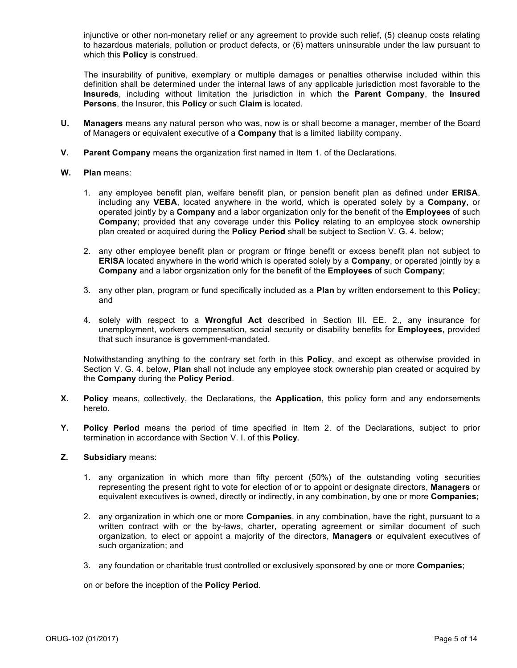injunctive or other non-monetary relief or any agreement to provide such relief, (5) cleanup costs relating to hazardous materials, pollution or product defects, or (6) matters uninsurable under the law pursuant to which this **Policy** is construed.

The insurability of punitive, exemplary or multiple damages or penalties otherwise included within this definition shall be determined under the internal laws of any applicable jurisdiction most favorable to the **Insureds**, including without limitation the jurisdiction in which the **Parent Company**, the **Insured Persons**, the Insurer, this **Policy** or such **Claim** is located.

- **U. Managers** means any natural person who was, now is or shall become a manager, member of the Board of Managers or equivalent executive of a **Company** that is a limited liability company.
- **V. Parent Company** means the organization first named in Item 1. of the Declarations.

#### **W. Plan** means:

- 1. any employee benefit plan, welfare benefit plan, or pension benefit plan as defined under **ERISA**, including any **VEBA**, located anywhere in the world, which is operated solely by a **Company**, or operated jointly by a **Company** and a labor organization only for the benefit of the **Employees** of such **Company**; provided that any coverage under this **Policy** relating to an employee stock ownership plan created or acquired during the **Policy Period** shall be subject to Section V. G. 4. below;
- 2. any other employee benefit plan or program or fringe benefit or excess benefit plan not subject to **ERISA** located anywhere in the world which is operated solely by a **Company**, or operated jointly by a **Company** and a labor organization only for the benefit of the **Employees** of such **Company**;
- 3. any other plan, program or fund specifically included as a **Plan** by written endorsement to this **Policy**; and
- 4. solely with respect to a **Wrongful Act** described in Section III. EE. 2., any insurance for unemployment, workers compensation, social security or disability benefits for **Employees**, provided that such insurance is government-mandated.

Notwithstanding anything to the contrary set forth in this **Policy**, and except as otherwise provided in Section V. G. 4. below, **Plan** shall not include any employee stock ownership plan created or acquired by the **Company** during the **Policy Period**.

- **X. Policy** means, collectively, the Declarations, the **Application**, this policy form and any endorsements hereto.
- **Y. Policy Period** means the period of time specified in Item 2. of the Declarations, subject to prior termination in accordance with Section V. I. of this **Policy**.

## **Z. Subsidiary** means:

- 1. any organization in which more than fifty percent (50%) of the outstanding voting securities representing the present right to vote for election of or to appoint or designate directors, **Managers** or equivalent executives is owned, directly or indirectly, in any combination, by one or more **Companies**;
- 2. any organization in which one or more **Companies**, in any combination, have the right, pursuant to a written contract with or the by-laws, charter, operating agreement or similar document of such organization, to elect or appoint a majority of the directors, **Managers** or equivalent executives of such organization; and
- 3. any foundation or charitable trust controlled or exclusively sponsored by one or more **Companies**;

on or before the inception of the **Policy Period**.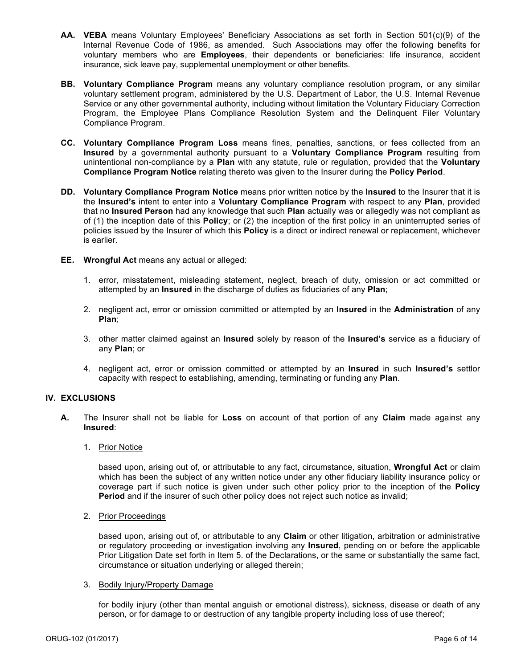- **AA. VEBA** means Voluntary Employees' Beneficiary Associations as set forth in Section 501(c)(9) of the Internal Revenue Code of 1986, as amended. Such Associations may offer the following benefits for voluntary members who are **Employees**, their dependents or beneficiaries: life insurance, accident insurance, sick leave pay, supplemental unemployment or other benefits.
- **BB. Voluntary Compliance Program** means any voluntary compliance resolution program, or any similar voluntary settlement program, administered by the U.S. Department of Labor, the U.S. Internal Revenue Service or any other governmental authority, including without limitation the Voluntary Fiduciary Correction Program, the Employee Plans Compliance Resolution System and the Delinquent Filer Voluntary Compliance Program.
- **CC. Voluntary Compliance Program Loss** means fines, penalties, sanctions, or fees collected from an **Insured** by a governmental authority pursuant to a **Voluntary Compliance Program** resulting from unintentional non-compliance by a **Plan** with any statute, rule or regulation, provided that the **Voluntary Compliance Program Notice** relating thereto was given to the Insurer during the **Policy Period**.
- **DD. Voluntary Compliance Program Notice** means prior written notice by the **Insured** to the Insurer that it is the **Insured's** intent to enter into a **Voluntary Compliance Program** with respect to any **Plan**, provided that no **Insured Person** had any knowledge that such **Plan** actually was or allegedly was not compliant as of (1) the inception date of this **Policy**; or (2) the inception of the first policy in an uninterrupted series of policies issued by the Insurer of which this **Policy** is a direct or indirect renewal or replacement, whichever is earlier.
- **EE. Wrongful Act** means any actual or alleged:
	- 1. error, misstatement, misleading statement, neglect, breach of duty, omission or act committed or attempted by an **Insured** in the discharge of duties as fiduciaries of any **Plan**;
	- 2. negligent act, error or omission committed or attempted by an **Insured** in the **Administration** of any **Plan**;
	- 3. other matter claimed against an **Insured** solely by reason of the **Insured's** service as a fiduciary of any **Plan**; or
	- 4. negligent act, error or omission committed or attempted by an **Insured** in such **Insured's** settlor capacity with respect to establishing, amending, terminating or funding any **Plan**.

## **IV. EXCLUSIONS**

- **A.** The Insurer shall not be liable for **Loss** on account of that portion of any **Claim** made against any **Insured**:
	- 1. Prior Notice

based upon, arising out of, or attributable to any fact, circumstance, situation, **Wrongful Act** or claim which has been the subject of any written notice under any other fiduciary liability insurance policy or coverage part if such notice is given under such other policy prior to the inception of the **Policy Period** and if the insurer of such other policy does not reject such notice as invalid;

2. Prior Proceedings

based upon, arising out of, or attributable to any **Claim** or other litigation, arbitration or administrative or regulatory proceeding or investigation involving any **Insured**, pending on or before the applicable Prior Litigation Date set forth in Item 5. of the Declarations, or the same or substantially the same fact, circumstance or situation underlying or alleged therein;

## 3. Bodily Injury/Property Damage

for bodily injury (other than mental anguish or emotional distress), sickness, disease or death of any person, or for damage to or destruction of any tangible property including loss of use thereof;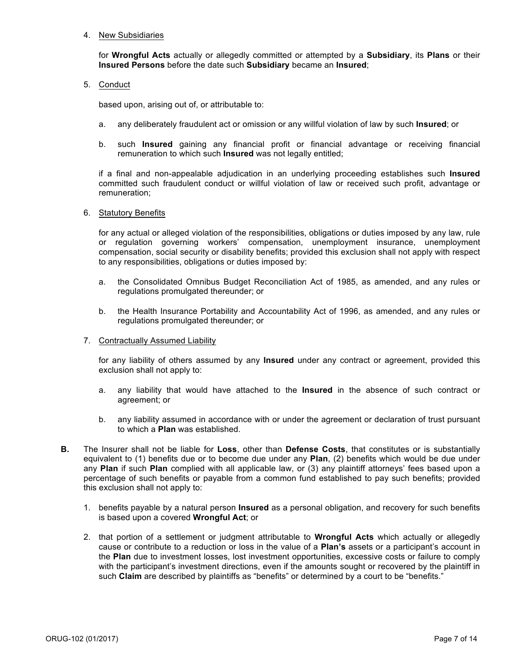#### 4. New Subsidiaries

for **Wrongful Acts** actually or allegedly committed or attempted by a **Subsidiary**, its **Plans** or their **Insured Persons** before the date such **Subsidiary** became an **Insured**;

5. Conduct

based upon, arising out of, or attributable to:

- a. any deliberately fraudulent act or omission or any willful violation of law by such **Insured**; or
- b. such **Insured** gaining any financial profit or financial advantage or receiving financial remuneration to which such **Insured** was not legally entitled;

if a final and non-appealable adjudication in an underlying proceeding establishes such **Insured** committed such fraudulent conduct or willful violation of law or received such profit, advantage or remuneration;

6. Statutory Benefits

for any actual or alleged violation of the responsibilities, obligations or duties imposed by any law, rule or regulation governing workers' compensation, unemployment insurance, unemployment compensation, social security or disability benefits; provided this exclusion shall not apply with respect to any responsibilities, obligations or duties imposed by:

- a. the Consolidated Omnibus Budget Reconciliation Act of 1985, as amended, and any rules or regulations promulgated thereunder; or
- b. the Health Insurance Portability and Accountability Act of 1996, as amended, and any rules or regulations promulgated thereunder; or
- 7. Contractually Assumed Liability

for any liability of others assumed by any **Insured** under any contract or agreement, provided this exclusion shall not apply to:

- a. any liability that would have attached to the **Insured** in the absence of such contract or agreement; or
- b. any liability assumed in accordance with or under the agreement or declaration of trust pursuant to which a **Plan** was established.
- **B.** The Insurer shall not be liable for **Loss**, other than **Defense Costs**, that constitutes or is substantially equivalent to (1) benefits due or to become due under any **Plan**, (2) benefits which would be due under any **Plan** if such **Plan** complied with all applicable law, or (3) any plaintiff attorneys' fees based upon a percentage of such benefits or payable from a common fund established to pay such benefits; provided this exclusion shall not apply to:
	- 1. benefits payable by a natural person **Insured** as a personal obligation, and recovery for such benefits is based upon a covered **Wrongful Act**; or
	- 2. that portion of a settlement or judgment attributable to **Wrongful Acts** which actually or allegedly cause or contribute to a reduction or loss in the value of a **Plan's** assets or a participant's account in the **Plan** due to investment losses, lost investment opportunities, excessive costs or failure to comply with the participant's investment directions, even if the amounts sought or recovered by the plaintiff in such **Claim** are described by plaintiffs as "benefits" or determined by a court to be "benefits."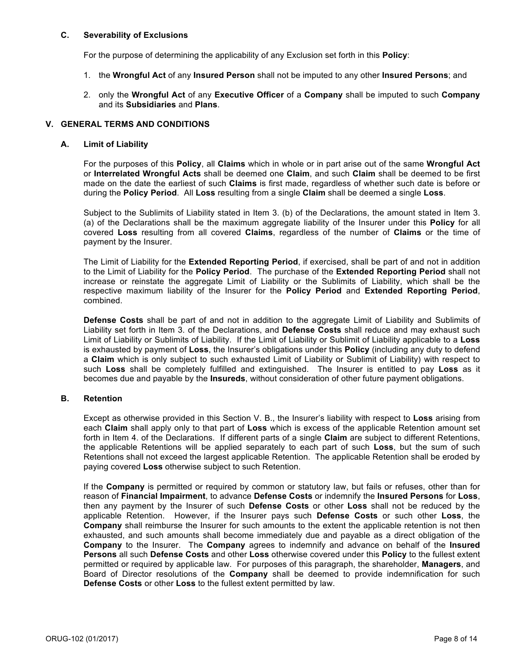#### **C. Severability of Exclusions**

For the purpose of determining the applicability of any Exclusion set forth in this **Policy**:

- 1. the **Wrongful Act** of any **Insured Person** shall not be imputed to any other **Insured Persons**; and
- 2. only the **Wrongful Act** of any **Executive Officer** of a **Company** shall be imputed to such **Company** and its **Subsidiaries** and **Plans**.

#### **V. GENERAL TERMS AND CONDITIONS**

#### **A. Limit of Liability**

For the purposes of this **Policy**, all **Claims** which in whole or in part arise out of the same **Wrongful Act** or **Interrelated Wrongful Acts** shall be deemed one **Claim**, and such **Claim** shall be deemed to be first made on the date the earliest of such **Claims** is first made, regardless of whether such date is before or during the **Policy Period**. All **Loss** resulting from a single **Claim** shall be deemed a single **Loss**.

Subject to the Sublimits of Liability stated in Item 3. (b) of the Declarations, the amount stated in Item 3. (a) of the Declarations shall be the maximum aggregate liability of the Insurer under this **Policy** for all covered **Loss** resulting from all covered **Claims**, regardless of the number of **Claims** or the time of payment by the Insurer.

The Limit of Liability for the **Extended Reporting Period**, if exercised, shall be part of and not in addition to the Limit of Liability for the **Policy Period**. The purchase of the **Extended Reporting Period** shall not increase or reinstate the aggregate Limit of Liability or the Sublimits of Liability, which shall be the respective maximum liability of the Insurer for the **Policy Period** and **Extended Reporting Period**, combined.

**Defense Costs** shall be part of and not in addition to the aggregate Limit of Liability and Sublimits of Liability set forth in Item 3. of the Declarations, and **Defense Costs** shall reduce and may exhaust such Limit of Liability or Sublimits of Liability. If the Limit of Liability or Sublimit of Liability applicable to a **Loss** is exhausted by payment of **Loss**, the Insurer's obligations under this **Policy** (including any duty to defend a **Claim** which is only subject to such exhausted Limit of Liability or Sublimit of Liability) with respect to such **Loss** shall be completely fulfilled and extinguished. The Insurer is entitled to pay **Loss** as it becomes due and payable by the **Insureds**, without consideration of other future payment obligations.

## **B. Retention**

Except as otherwise provided in this Section V. B., the Insurer's liability with respect to **Loss** arising from each **Claim** shall apply only to that part of **Loss** which is excess of the applicable Retention amount set forth in Item 4. of the Declarations. If different parts of a single **Claim** are subject to different Retentions, the applicable Retentions will be applied separately to each part of such **Loss**, but the sum of such Retentions shall not exceed the largest applicable Retention. The applicable Retention shall be eroded by paying covered **Loss** otherwise subject to such Retention.

If the **Company** is permitted or required by common or statutory law, but fails or refuses, other than for reason of **Financial Impairment**, to advance **Defense Costs** or indemnify the **Insured Persons** for **Loss**, then any payment by the Insurer of such **Defense Costs** or other **Loss** shall not be reduced by the applicable Retention. However, if the Insurer pays such **Defense Costs** or such other **Loss**, the **Company** shall reimburse the Insurer for such amounts to the extent the applicable retention is not then exhausted, and such amounts shall become immediately due and payable as a direct obligation of the **Company** to the Insurer. The **Company** agrees to indemnify and advance on behalf of the **Insured Persons** all such **Defense Costs** and other **Loss** otherwise covered under this **Policy** to the fullest extent permitted or required by applicable law. For purposes of this paragraph, the shareholder, **Managers**, and Board of Director resolutions of the **Company** shall be deemed to provide indemnification for such **Defense Costs** or other **Loss** to the fullest extent permitted by law.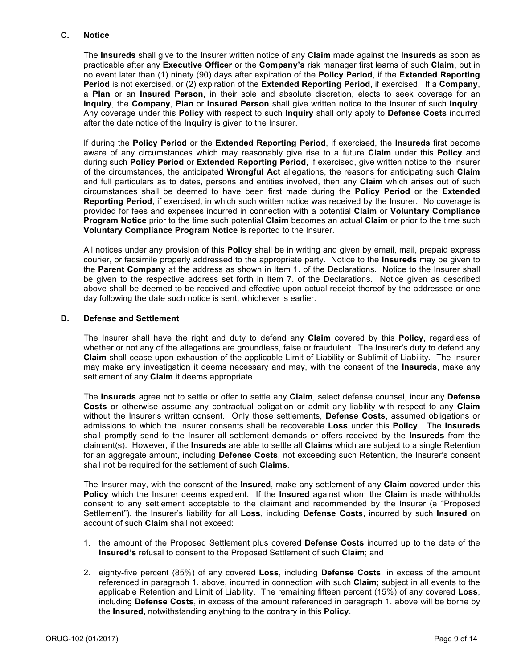## **C. Notice**

The **Insureds** shall give to the Insurer written notice of any **Claim** made against the **Insureds** as soon as practicable after any **Executive Officer** or the **Company's** risk manager first learns of such **Claim**, but in no event later than (1) ninety (90) days after expiration of the **Policy Period**, if the **Extended Reporting Period** is not exercised, or (2) expiration of the **Extended Reporting Period**, if exercised. If a **Company**, a **Plan** or an **Insured Person**, in their sole and absolute discretion, elects to seek coverage for an **Inquiry**, the **Company**, **Plan** or **Insured Person** shall give written notice to the Insurer of such **Inquiry**. Any coverage under this **Policy** with respect to such **Inquiry** shall only apply to **Defense Costs** incurred after the date notice of the **Inquiry** is given to the Insurer.

If during the **Policy Period** or the **Extended Reporting Period**, if exercised, the **Insureds** first become aware of any circumstances which may reasonably give rise to a future **Claim** under this **Policy** and during such **Policy Period** or **Extended Reporting Period**, if exercised, give written notice to the Insurer of the circumstances, the anticipated **Wrongful Act** allegations, the reasons for anticipating such **Claim** and full particulars as to dates, persons and entities involved, then any **Claim** which arises out of such circumstances shall be deemed to have been first made during the **Policy Period** or the **Extended Reporting Period**, if exercised, in which such written notice was received by the Insurer. No coverage is provided for fees and expenses incurred in connection with a potential **Claim** or **Voluntary Compliance Program Notice** prior to the time such potential **Claim** becomes an actual **Claim** or prior to the time such **Voluntary Compliance Program Notice** is reported to the Insurer.

All notices under any provision of this **Policy** shall be in writing and given by email, mail, prepaid express courier, or facsimile properly addressed to the appropriate party. Notice to the **Insureds** may be given to the **Parent Company** at the address as shown in Item 1. of the Declarations. Notice to the Insurer shall be given to the respective address set forth in Item 7. of the Declarations. Notice given as described above shall be deemed to be received and effective upon actual receipt thereof by the addressee or one day following the date such notice is sent, whichever is earlier.

## **D. Defense and Settlement**

The Insurer shall have the right and duty to defend any **Claim** covered by this **Policy**, regardless of whether or not any of the allegations are groundless, false or fraudulent. The Insurer's duty to defend any **Claim** shall cease upon exhaustion of the applicable Limit of Liability or Sublimit of Liability. The Insurer may make any investigation it deems necessary and may, with the consent of the **Insureds**, make any settlement of any **Claim** it deems appropriate.

The **Insureds** agree not to settle or offer to settle any **Claim**, select defense counsel, incur any **Defense Costs** or otherwise assume any contractual obligation or admit any liability with respect to any **Claim** without the Insurer's written consent. Only those settlements, **Defense Costs**, assumed obligations or admissions to which the Insurer consents shall be recoverable **Loss** under this **Policy**. The **Insureds** shall promptly send to the Insurer all settlement demands or offers received by the **Insureds** from the claimant(s). However, if the **Insureds** are able to settle all **Claims** which are subject to a single Retention for an aggregate amount, including **Defense Costs**, not exceeding such Retention, the Insurer's consent shall not be required for the settlement of such **Claims**.

The Insurer may, with the consent of the **Insured**, make any settlement of any **Claim** covered under this **Policy** which the Insurer deems expedient. If the **Insured** against whom the **Claim** is made withholds consent to any settlement acceptable to the claimant and recommended by the Insurer (a "Proposed Settlement"), the Insurer's liability for all **Loss**, including **Defense Costs**, incurred by such **Insured** on account of such **Claim** shall not exceed:

- 1. the amount of the Proposed Settlement plus covered **Defense Costs** incurred up to the date of the **Insured's** refusal to consent to the Proposed Settlement of such **Claim**; and
- 2. eighty-five percent (85%) of any covered **Loss**, including **Defense Costs**, in excess of the amount referenced in paragraph 1. above, incurred in connection with such **Claim**; subject in all events to the applicable Retention and Limit of Liability. The remaining fifteen percent (15%) of any covered **Loss**, including **Defense Costs**, in excess of the amount referenced in paragraph 1. above will be borne by the **Insured**, notwithstanding anything to the contrary in this **Policy**.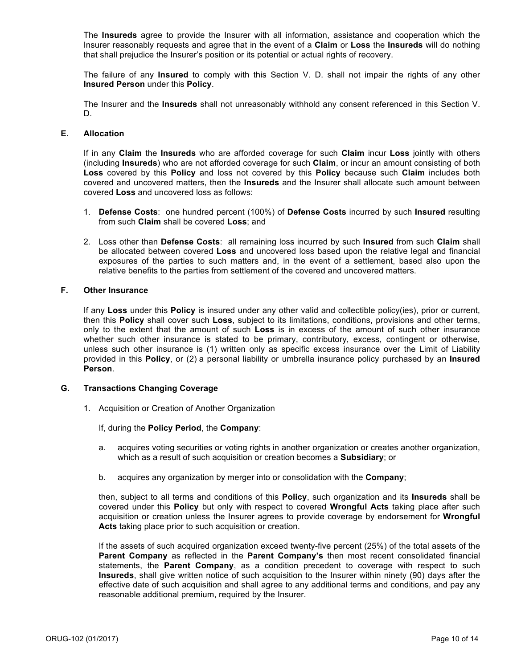The **Insureds** agree to provide the Insurer with all information, assistance and cooperation which the Insurer reasonably requests and agree that in the event of a **Claim** or **Loss** the **Insureds** will do nothing that shall prejudice the Insurer's position or its potential or actual rights of recovery.

The failure of any **Insured** to comply with this Section V. D. shall not impair the rights of any other **Insured Person** under this **Policy**.

The Insurer and the **Insureds** shall not unreasonably withhold any consent referenced in this Section V. D.

#### **E. Allocation**

If in any **Claim** the **Insureds** who are afforded coverage for such **Claim** incur **Loss** jointly with others (including **Insureds**) who are not afforded coverage for such **Claim**, or incur an amount consisting of both **Loss** covered by this **Policy** and loss not covered by this **Policy** because such **Claim** includes both covered and uncovered matters, then the **Insureds** and the Insurer shall allocate such amount between covered **Loss** and uncovered loss as follows:

- 1. **Defense Costs**: one hundred percent (100%) of **Defense Costs** incurred by such **Insured** resulting from such **Claim** shall be covered **Loss**; and
- 2. Loss other than **Defense Costs**: all remaining loss incurred by such **Insured** from such **Claim** shall be allocated between covered **Loss** and uncovered loss based upon the relative legal and financial exposures of the parties to such matters and, in the event of a settlement, based also upon the relative benefits to the parties from settlement of the covered and uncovered matters.

#### **F. Other Insurance**

If any **Loss** under this **Policy** is insured under any other valid and collectible policy(ies), prior or current, then this **Policy** shall cover such **Loss**, subject to its limitations, conditions, provisions and other terms, only to the extent that the amount of such **Loss** is in excess of the amount of such other insurance whether such other insurance is stated to be primary, contributory, excess, contingent or otherwise, unless such other insurance is (1) written only as specific excess insurance over the Limit of Liability provided in this **Policy**, or (2) a personal liability or umbrella insurance policy purchased by an **Insured Person**.

#### **G. Transactions Changing Coverage**

1. Acquisition or Creation of Another Organization

#### If, during the **Policy Period**, the **Company**:

- a. acquires voting securities or voting rights in another organization or creates another organization, which as a result of such acquisition or creation becomes a **Subsidiary**; or
- b. acquires any organization by merger into or consolidation with the **Company**;

then, subject to all terms and conditions of this **Policy**, such organization and its **Insureds** shall be covered under this **Policy** but only with respect to covered **Wrongful Acts** taking place after such acquisition or creation unless the Insurer agrees to provide coverage by endorsement for **Wrongful Acts** taking place prior to such acquisition or creation.

If the assets of such acquired organization exceed twenty-five percent (25%) of the total assets of the **Parent Company** as reflected in the **Parent Company's** then most recent consolidated financial statements, the **Parent Company**, as a condition precedent to coverage with respect to such **Insureds**, shall give written notice of such acquisition to the Insurer within ninety (90) days after the effective date of such acquisition and shall agree to any additional terms and conditions, and pay any reasonable additional premium, required by the Insurer.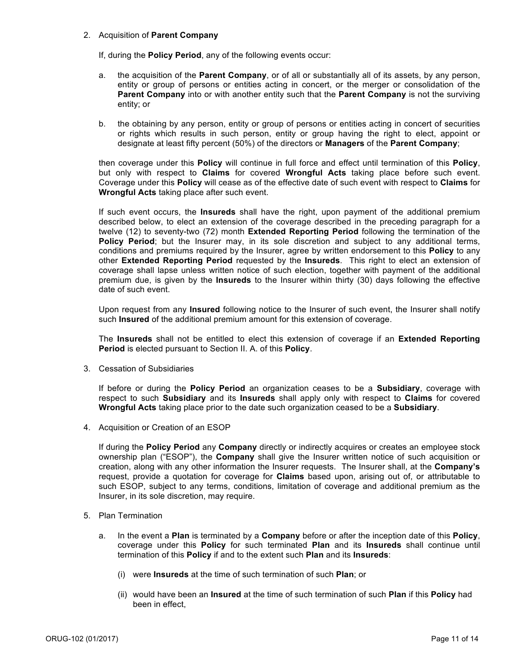### 2. Acquisition of **Parent Company**

If, during the **Policy Period**, any of the following events occur:

- a. the acquisition of the **Parent Company**, or of all or substantially all of its assets, by any person, entity or group of persons or entities acting in concert, or the merger or consolidation of the **Parent Company** into or with another entity such that the **Parent Company** is not the surviving entity; or
- b. the obtaining by any person, entity or group of persons or entities acting in concert of securities or rights which results in such person, entity or group having the right to elect, appoint or designate at least fifty percent (50%) of the directors or **Managers** of the **Parent Company**;

then coverage under this **Policy** will continue in full force and effect until termination of this **Policy**, but only with respect to **Claims** for covered **Wrongful Acts** taking place before such event. Coverage under this **Policy** will cease as of the effective date of such event with respect to **Claims** for **Wrongful Acts** taking place after such event.

If such event occurs, the **Insureds** shall have the right, upon payment of the additional premium described below, to elect an extension of the coverage described in the preceding paragraph for a twelve (12) to seventy-two (72) month **Extended Reporting Period** following the termination of the Policy Period; but the Insurer may, in its sole discretion and subject to any additional terms, conditions and premiums required by the Insurer, agree by written endorsement to this **Policy** to any other **Extended Reporting Period** requested by the **Insureds**. This right to elect an extension of coverage shall lapse unless written notice of such election, together with payment of the additional premium due, is given by the **Insureds** to the Insurer within thirty (30) days following the effective date of such event.

Upon request from any **Insured** following notice to the Insurer of such event, the Insurer shall notify such **Insured** of the additional premium amount for this extension of coverage.

The **Insureds** shall not be entitled to elect this extension of coverage if an **Extended Reporting Period** is elected pursuant to Section II. A. of this **Policy**.

3. Cessation of Subsidiaries

If before or during the **Policy Period** an organization ceases to be a **Subsidiary**, coverage with respect to such **Subsidiary** and its **Insureds** shall apply only with respect to **Claims** for covered **Wrongful Acts** taking place prior to the date such organization ceased to be a **Subsidiary**.

4. Acquisition or Creation of an ESOP

If during the **Policy Period** any **Company** directly or indirectly acquires or creates an employee stock ownership plan ("ESOP"), the **Company** shall give the Insurer written notice of such acquisition or creation, along with any other information the Insurer requests. The Insurer shall, at the **Company's** request, provide a quotation for coverage for **Claims** based upon, arising out of, or attributable to such ESOP, subject to any terms, conditions, limitation of coverage and additional premium as the Insurer, in its sole discretion, may require.

- 5. Plan Termination
	- a. In the event a **Plan** is terminated by a **Company** before or after the inception date of this **Policy**, coverage under this **Policy** for such terminated **Plan** and its **Insureds** shall continue until termination of this **Policy** if and to the extent such **Plan** and its **Insureds**:
		- (i) were **Insureds** at the time of such termination of such **Plan**; or
		- (ii) would have been an **Insured** at the time of such termination of such **Plan** if this **Policy** had been in effect,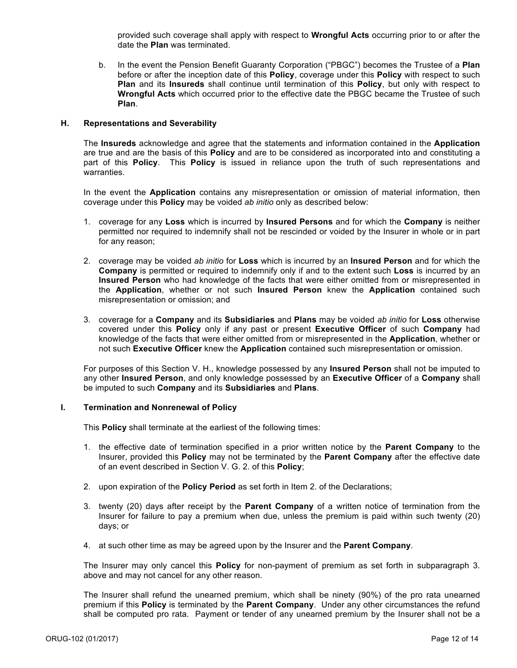provided such coverage shall apply with respect to **Wrongful Acts** occurring prior to or after the date the **Plan** was terminated.

b. In the event the Pension Benefit Guaranty Corporation ("PBGC") becomes the Trustee of a **Plan** before or after the inception date of this **Policy**, coverage under this **Policy** with respect to such **Plan** and its **Insureds** shall continue until termination of this **Policy**, but only with respect to **Wrongful Acts** which occurred prior to the effective date the PBGC became the Trustee of such **Plan**.

## **H. Representations and Severability**

The **Insureds** acknowledge and agree that the statements and information contained in the **Application** are true and are the basis of this **Policy** and are to be considered as incorporated into and constituting a part of this **Policy**. This **Policy** is issued in reliance upon the truth of such representations and warranties.

In the event the **Application** contains any misrepresentation or omission of material information, then coverage under this **Policy** may be voided *ab initio* only as described below:

- 1. coverage for any **Loss** which is incurred by **Insured Persons** and for which the **Company** is neither permitted nor required to indemnify shall not be rescinded or voided by the Insurer in whole or in part for any reason;
- 2. coverage may be voided *ab initio* for **Loss** which is incurred by an **Insured Person** and for which the **Company** is permitted or required to indemnify only if and to the extent such **Loss** is incurred by an **Insured Person** who had knowledge of the facts that were either omitted from or misrepresented in the **Application**, whether or not such **Insured Person** knew the **Application** contained such misrepresentation or omission; and
- 3. coverage for a **Company** and its **Subsidiaries** and **Plans** may be voided *ab initio* for **Loss** otherwise covered under this **Policy** only if any past or present **Executive Officer** of such **Company** had knowledge of the facts that were either omitted from or misrepresented in the **Application**, whether or not such **Executive Officer** knew the **Application** contained such misrepresentation or omission.

For purposes of this Section V. H., knowledge possessed by any **Insured Person** shall not be imputed to any other **Insured Person**, and only knowledge possessed by an **Executive Officer** of a **Company** shall be imputed to such **Company** and its **Subsidiaries** and **Plans**.

#### **I. Termination and Nonrenewal of Policy**

This **Policy** shall terminate at the earliest of the following times:

- 1. the effective date of termination specified in a prior written notice by the **Parent Company** to the Insurer, provided this **Policy** may not be terminated by the **Parent Company** after the effective date of an event described in Section V. G. 2. of this **Policy**;
- 2. upon expiration of the **Policy Period** as set forth in Item 2. of the Declarations;
- 3. twenty (20) days after receipt by the **Parent Company** of a written notice of termination from the Insurer for failure to pay a premium when due, unless the premium is paid within such twenty (20) days; or
- 4. at such other time as may be agreed upon by the Insurer and the **Parent Company**.

The Insurer may only cancel this **Policy** for non-payment of premium as set forth in subparagraph 3. above and may not cancel for any other reason.

The Insurer shall refund the unearned premium, which shall be ninety (90%) of the pro rata unearned premium if this **Policy** is terminated by the **Parent Company**. Under any other circumstances the refund shall be computed pro rata. Payment or tender of any unearned premium by the Insurer shall not be a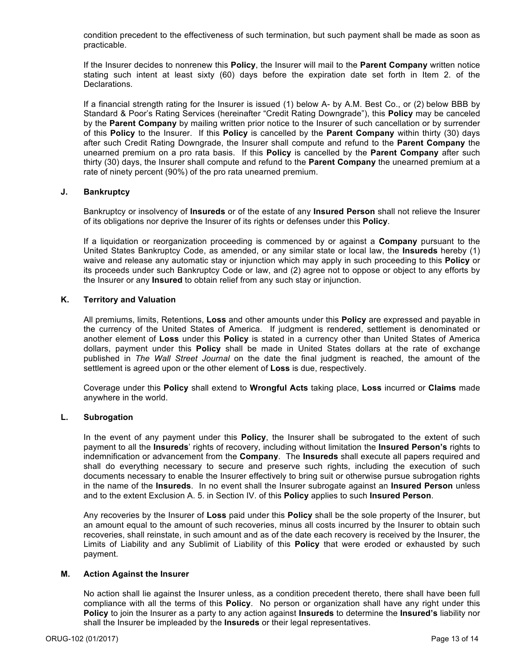condition precedent to the effectiveness of such termination, but such payment shall be made as soon as practicable.

If the Insurer decides to nonrenew this **Policy**, the Insurer will mail to the **Parent Company** written notice stating such intent at least sixty (60) days before the expiration date set forth in Item 2. of the Declarations.

If a financial strength rating for the Insurer is issued (1) below A- by A.M. Best Co., or (2) below BBB by Standard & Poor's Rating Services (hereinafter "Credit Rating Downgrade"), this **Policy** may be canceled by the **Parent Company** by mailing written prior notice to the Insurer of such cancellation or by surrender of this **Policy** to the Insurer. If this **Policy** is cancelled by the **Parent Company** within thirty (30) days after such Credit Rating Downgrade, the Insurer shall compute and refund to the **Parent Company** the unearned premium on a pro rata basis. If this **Policy** is cancelled by the **Parent Company** after such thirty (30) days, the Insurer shall compute and refund to the **Parent Company** the unearned premium at a rate of ninety percent (90%) of the pro rata unearned premium.

## **J. Bankruptcy**

Bankruptcy or insolvency of **Insureds** or of the estate of any **Insured Person** shall not relieve the Insurer of its obligations nor deprive the Insurer of its rights or defenses under this **Policy**.

If a liquidation or reorganization proceeding is commenced by or against a **Company** pursuant to the United States Bankruptcy Code, as amended, or any similar state or local law, the **Insureds** hereby (1) waive and release any automatic stay or injunction which may apply in such proceeding to this **Policy** or its proceeds under such Bankruptcy Code or law, and (2) agree not to oppose or object to any efforts by the Insurer or any **Insured** to obtain relief from any such stay or injunction.

## **K. Territory and Valuation**

All premiums, limits, Retentions, **Loss** and other amounts under this **Policy** are expressed and payable in the currency of the United States of America. If judgment is rendered, settlement is denominated or another element of **Loss** under this **Policy** is stated in a currency other than United States of America dollars, payment under this **Policy** shall be made in United States dollars at the rate of exchange published in *The Wall Street Journal* on the date the final judgment is reached, the amount of the settlement is agreed upon or the other element of **Loss** is due, respectively.

Coverage under this **Policy** shall extend to **Wrongful Acts** taking place, **Loss** incurred or **Claims** made anywhere in the world.

## **L. Subrogation**

In the event of any payment under this **Policy**, the Insurer shall be subrogated to the extent of such payment to all the **Insureds**' rights of recovery, including without limitation the **Insured Person's** rights to indemnification or advancement from the **Company**. The **Insureds** shall execute all papers required and shall do everything necessary to secure and preserve such rights, including the execution of such documents necessary to enable the Insurer effectively to bring suit or otherwise pursue subrogation rights in the name of the **Insureds**. In no event shall the Insurer subrogate against an **Insured Person** unless and to the extent Exclusion A. 5. in Section IV. of this **Policy** applies to such **Insured Person**.

Any recoveries by the Insurer of **Loss** paid under this **Policy** shall be the sole property of the Insurer, but an amount equal to the amount of such recoveries, minus all costs incurred by the Insurer to obtain such recoveries, shall reinstate, in such amount and as of the date each recovery is received by the Insurer, the Limits of Liability and any Sublimit of Liability of this **Policy** that were eroded or exhausted by such payment.

## **M. Action Against the Insurer**

No action shall lie against the Insurer unless, as a condition precedent thereto, there shall have been full compliance with all the terms of this **Policy**. No person or organization shall have any right under this **Policy** to join the Insurer as a party to any action against **Insureds** to determine the **Insured's** liability nor shall the Insurer be impleaded by the **Insureds** or their legal representatives.